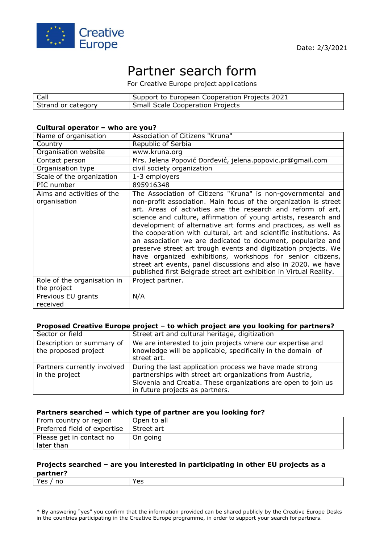



# Partner search form

For Creative Europe project applications

| Call               | Support to European Cooperation Projects 2021 |
|--------------------|-----------------------------------------------|
| Strand or category | <b>Small Scale Cooperation Projects</b>       |

#### **Cultural operator – who are you?**

| Name of organisation                       | Association of Citizens "Kruna"                                                                                                                                                                                                                                                                                                                                                                                                                                                                                                                                                                                                                                                                                                                    |
|--------------------------------------------|----------------------------------------------------------------------------------------------------------------------------------------------------------------------------------------------------------------------------------------------------------------------------------------------------------------------------------------------------------------------------------------------------------------------------------------------------------------------------------------------------------------------------------------------------------------------------------------------------------------------------------------------------------------------------------------------------------------------------------------------------|
| Country                                    | Republic of Serbia                                                                                                                                                                                                                                                                                                                                                                                                                                                                                                                                                                                                                                                                                                                                 |
| Organisation website                       | www.kruna.org                                                                                                                                                                                                                                                                                                                                                                                                                                                                                                                                                                                                                                                                                                                                      |
| Contact person                             | Mrs. Jelena Popović Đorđević, jelena popovic.pr@gmail.com                                                                                                                                                                                                                                                                                                                                                                                                                                                                                                                                                                                                                                                                                          |
| Organisation type                          | civil society organization                                                                                                                                                                                                                                                                                                                                                                                                                                                                                                                                                                                                                                                                                                                         |
| Scale of the organization                  | 1-3 employers                                                                                                                                                                                                                                                                                                                                                                                                                                                                                                                                                                                                                                                                                                                                      |
| PIC number                                 | 895916348                                                                                                                                                                                                                                                                                                                                                                                                                                                                                                                                                                                                                                                                                                                                          |
| Aims and activities of the<br>organisation | The Association of Citizens "Kruna" is non-governmental and<br>non-profit association. Main focus of the organization is street<br>art. Areas of activities are the research and reform of art,<br>science and culture, affirmation of young artists, research and<br>development of alternative art forms and practices, as well as<br>the cooperation with cultural, art and scientific institutions. As<br>an association we are dedicated to document, popularize and<br>preserve street art trough events and digitization projects. We<br>have organized exhibitions, workshops for senior citizens,<br>street art events, panel discussions and also in 2020. we have<br>published first Belgrade street art exhibition in Virtual Reality. |
| Role of the organisation in<br>the project | Project partner.                                                                                                                                                                                                                                                                                                                                                                                                                                                                                                                                                                                                                                                                                                                                   |
| Previous EU grants<br>received             | N/A                                                                                                                                                                                                                                                                                                                                                                                                                                                                                                                                                                                                                                                                                                                                                |

#### **Proposed Creative Europe project – to which project are you looking for partners?**

| Sector or field                                   | Street art and cultural heritage, digitization                                                                                                                                                                          |
|---------------------------------------------------|-------------------------------------------------------------------------------------------------------------------------------------------------------------------------------------------------------------------------|
| Description or summary of<br>the proposed project | We are interested to join projects where our expertise and<br>knowledge will be applicable, specifically in the domain of<br>street art.                                                                                |
| Partners currently involved<br>in the project     | During the last application process we have made strong<br>partnerships with street art organizations from Austria,<br>Slovenia and Croatia. These organizations are open to join us<br>in future projects as partners. |

#### **Partners searched – which type of partner are you looking for?**

| From country or region                 | Open to all |
|----------------------------------------|-------------|
| Preferred field of expertise           | Street art  |
| Please get in contact no<br>later than | On going    |

### **Projects searched – are you interested in participating in other EU projects as a partner?**

| -------------<br>____           |          |
|---------------------------------|----------|
| $\overline{ }$<br>- -<br>$\sim$ | .<br>$-$ |
|                                 |          |